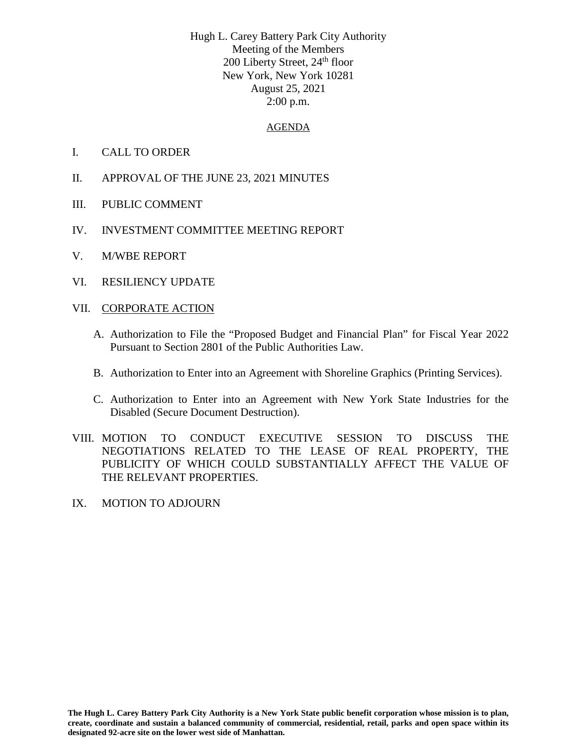Hugh L. Carey Battery Park City Authority Meeting of the Members 200 Liberty Street, 24<sup>th</sup> floor New York, New York 10281 August 25, 2021 2:00 p.m.

## AGENDA

- I. CALL TO ORDER
- II. APPROVAL OF THE JUNE 23, 2021 MINUTES
- III. PUBLIC COMMENT
- IV. INVESTMENT COMMITTEE MEETING REPORT
- V. M/WBE REPORT
- VI. RESILIENCY UPDATE
- VII. CORPORATE ACTION
	- A. Authorization to File the "Proposed Budget and Financial Plan" for Fiscal Year 2022 Pursuant to Section 2801 of the Public Authorities Law.
	- B. Authorization to Enter into an Agreement with Shoreline Graphics (Printing Services).
	- C. Authorization to Enter into an Agreement with New York State Industries for the Disabled (Secure Document Destruction).
- VIII. MOTION TO CONDUCT EXECUTIVE SESSION TO DISCUSS THE NEGOTIATIONS RELATED TO THE LEASE OF REAL PROPERTY, THE PUBLICITY OF WHICH COULD SUBSTANTIALLY AFFECT THE VALUE OF THE RELEVANT PROPERTIES.
- IX. MOTION TO ADJOURN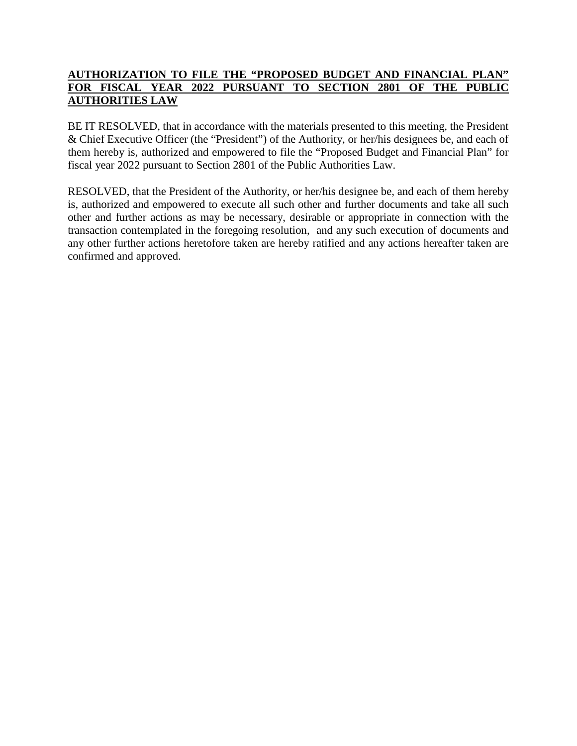## **AUTHORIZATION TO FILE THE "PROPOSED BUDGET AND FINANCIAL PLAN" FOR FISCAL YEAR 2022 PURSUANT TO SECTION 2801 OF THE PUBLIC AUTHORITIES LAW**

BE IT RESOLVED, that in accordance with the materials presented to this meeting, the President & Chief Executive Officer (the "President") of the Authority, or her/his designees be, and each of them hereby is, authorized and empowered to file the "Proposed Budget and Financial Plan" for fiscal year 2022 pursuant to Section 2801 of the Public Authorities Law.

RESOLVED, that the President of the Authority, or her/his designee be, and each of them hereby is, authorized and empowered to execute all such other and further documents and take all such other and further actions as may be necessary, desirable or appropriate in connection with the transaction contemplated in the foregoing resolution, and any such execution of documents and any other further actions heretofore taken are hereby ratified and any actions hereafter taken are confirmed and approved.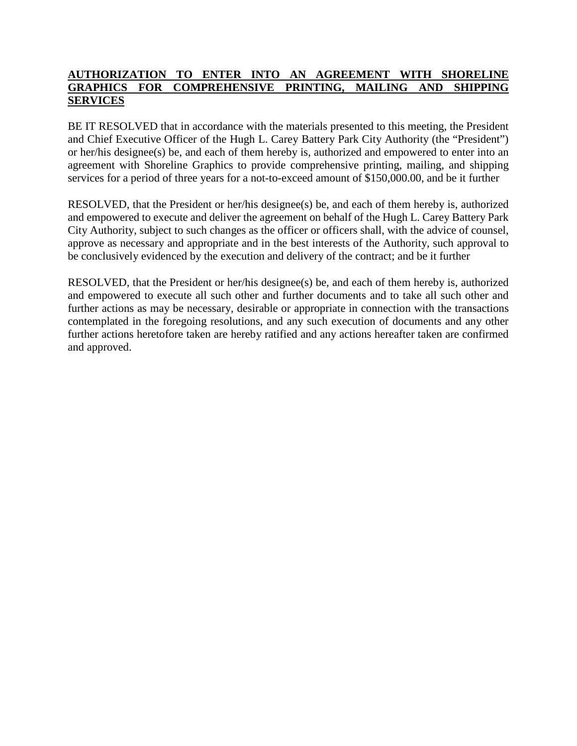## **AUTHORIZATION TO ENTER INTO AN AGREEMENT WITH SHORELINE GRAPHICS FOR COMPREHENSIVE PRINTING, MAILING AND SHIPPING SERVICES**

BE IT RESOLVED that in accordance with the materials presented to this meeting, the President and Chief Executive Officer of the Hugh L. Carey Battery Park City Authority (the "President") or her/his designee(s) be, and each of them hereby is, authorized and empowered to enter into an agreement with Shoreline Graphics to provide comprehensive printing, mailing, and shipping services for a period of three years for a not-to-exceed amount of \$150,000.00, and be it further

RESOLVED, that the President or her/his designee(s) be, and each of them hereby is, authorized and empowered to execute and deliver the agreement on behalf of the Hugh L. Carey Battery Park City Authority, subject to such changes as the officer or officers shall, with the advice of counsel, approve as necessary and appropriate and in the best interests of the Authority, such approval to be conclusively evidenced by the execution and delivery of the contract; and be it further

RESOLVED, that the President or her/his designee(s) be, and each of them hereby is, authorized and empowered to execute all such other and further documents and to take all such other and further actions as may be necessary, desirable or appropriate in connection with the transactions contemplated in the foregoing resolutions, and any such execution of documents and any other further actions heretofore taken are hereby ratified and any actions hereafter taken are confirmed and approved.